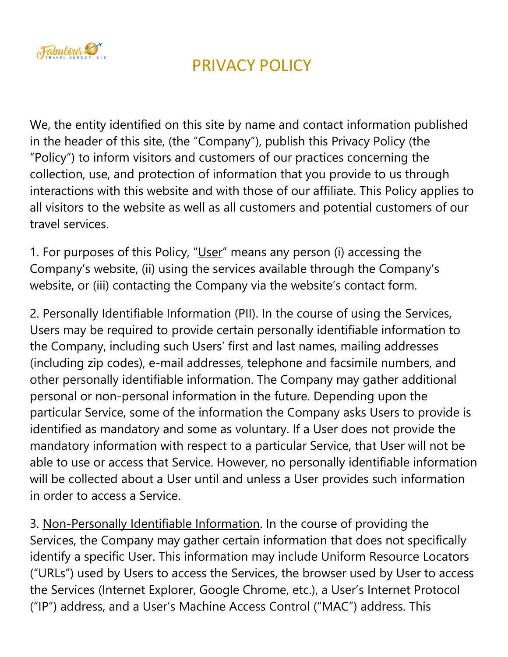

We, the entity identified on this site by name and contact information published in the header of this site, (the "Company"), publish this Privacy Policy (the "Policy") to inform visitors and customers of our practices concerning the collection, use, and protection of information that you provide to us through interactions with this website and with those of our affiliate. This Policy applies to all visitors to the website as well as all customers and potential customers of our travel services.

1. For purposes of this Policy, "User" means any person (i) accessing the Company's website, (ii) using the services available through the Company's website, or (iii) contacting the Company via the website's contact form.

2. Personally Identifiable Information (PII). In the course of using the Services, Users may be required to provide certain personally identifiable information to the Company, including such Users' first and last names, mailing addresses (including zip codes), e-mail addresses, telephone and facsimile numbers, and other personally identifiable information. The Company may gather additional personal or non-personal information in the future. Depending upon the particular Service, some of the information the Company asks Users to provide is identified as mandatory and some as voluntary. If a User does not provide the mandatory information with respect to a particular Service, that User will not be able to use or access that Service. However, no personally identifiable information will be collected about a User until and unless a User provides such information in order to access a Service.

3. Non-Personally Identifiable Information. In the course of providing the Services, the Company may gather certain information that does not specifically identify a specific User. This information may include Uniform Resource Locators ("URLs") used by Users to access the Services, the browser used by User to access the Services (Internet Explorer, Google Chrome, etc.), a User's Internet Protocol ("IP") address, and a User's Machine Access Control ("MAC") address. This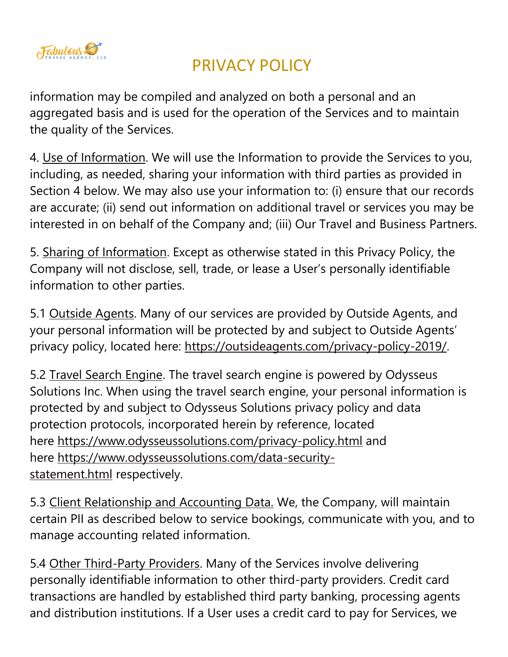

information may be compiled and analyzed on both a personal and an aggregated basis and is used for the operation of the Services and to maintain the quality of the Services.

4. Use of Information. We will use the Information to provide the Services to you, including, as needed, sharing your information with third parties as provided in Section 4 below. We may also use your information to: (i) ensure that our records are accurate; (ii) send out information on additional travel or services you may be interested in on behalf of the Company and; (iii) Our Travel and Business Partners.

5. Sharing of Information. Except as otherwise stated in this Privacy Policy, the Company will not disclose, sell, trade, or lease a User's personally identifiable information to other parties.

5.1 Outside Agents. Many of our services are provided by Outside Agents, and your personal information will be protected by and subject to Outside Agents' privacy policy, located here: [https://outsideagents.com/privacy-policy-2019/.](https://outsideagents.com/privacy-policy-2019/)

5.2 Travel Search Engine. The travel search engine is powered by Odysseus Solutions Inc. When using the travel search engine, your personal information is protected by and subject to Odysseus Solutions privacy policy and data protection protocols, incorporated herein by reference, located here <https://www.odysseussolutions.com/privacy-policy.html> and here [https://www.odysseussolutions.com/data-security](https://www.odysseussolutions.com/data-security-statement.html)[statement.html](https://www.odysseussolutions.com/data-security-statement.html) respectively.

5.3 Client Relationship and Accounting Data. We, the Company, will maintain certain PII as described below to service bookings, communicate with you, and to manage accounting related information.

5.4 Other Third-Party Providers. Many of the Services involve delivering personally identifiable information to other third-party providers. Credit card transactions are handled by established third party banking, processing agents and distribution institutions. If a User uses a credit card to pay for Services, we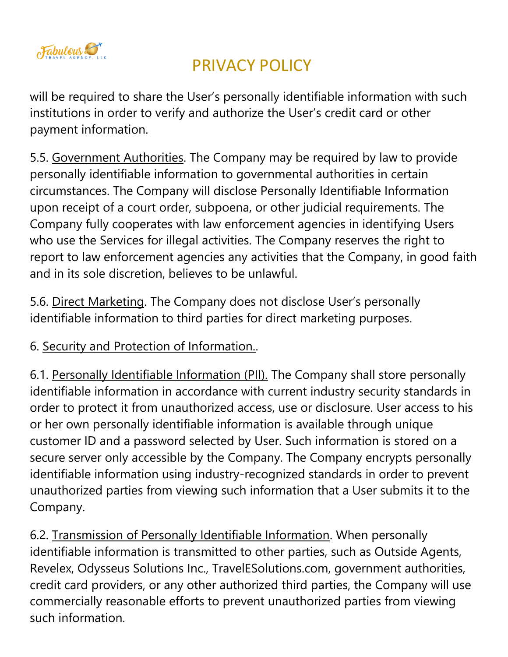

will be required to share the User's personally identifiable information with such institutions in order to verify and authorize the User's credit card or other payment information.

5.5. Government Authorities. The Company may be required by law to provide personally identifiable information to governmental authorities in certain circumstances. The Company will disclose Personally Identifiable Information upon receipt of a court order, subpoena, or other judicial requirements. The Company fully cooperates with law enforcement agencies in identifying Users who use the Services for illegal activities. The Company reserves the right to report to law enforcement agencies any activities that the Company, in good faith and in its sole discretion, believes to be unlawful.

5.6. Direct Marketing. The Company does not disclose User's personally identifiable information to third parties for direct marketing purposes.

#### 6. Security and Protection of Information..

6.1. Personally Identifiable Information (PII). The Company shall store personally identifiable information in accordance with current industry security standards in order to protect it from unauthorized access, use or disclosure. User access to his or her own personally identifiable information is available through unique customer ID and a password selected by User. Such information is stored on a secure server only accessible by the Company. The Company encrypts personally identifiable information using industry-recognized standards in order to prevent unauthorized parties from viewing such information that a User submits it to the Company.

6.2. Transmission of Personally Identifiable Information. When personally identifiable information is transmitted to other parties, such as Outside Agents, Revelex, Odysseus Solutions Inc., TravelESolutions.com, government authorities, credit card providers, or any other authorized third parties, the Company will use commercially reasonable efforts to prevent unauthorized parties from viewing such information.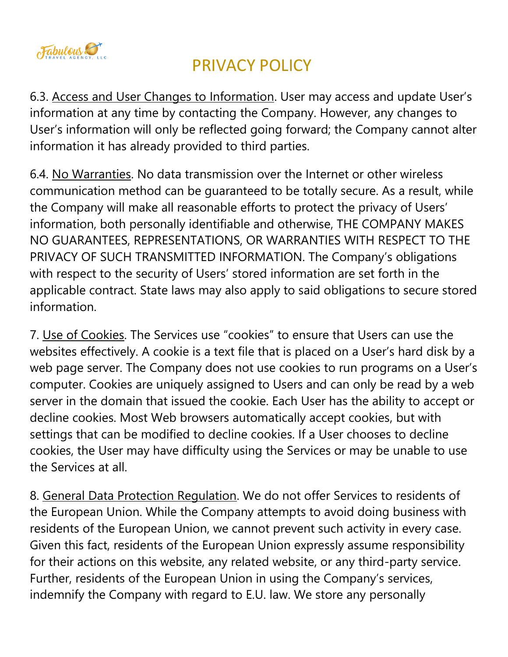

6.3. Access and User Changes to Information. User may access and update User's information at any time by contacting the Company. However, any changes to User's information will only be reflected going forward; the Company cannot alter information it has already provided to third parties.

6.4. No Warranties. No data transmission over the Internet or other wireless communication method can be guaranteed to be totally secure. As a result, while the Company will make all reasonable efforts to protect the privacy of Users' information, both personally identifiable and otherwise, THE COMPANY MAKES NO GUARANTEES, REPRESENTATIONS, OR WARRANTIES WITH RESPECT TO THE PRIVACY OF SUCH TRANSMITTED INFORMATION. The Company's obligations with respect to the security of Users' stored information are set forth in the applicable contract. State laws may also apply to said obligations to secure stored information.

7. Use of Cookies. The Services use "cookies" to ensure that Users can use the websites effectively. A cookie is a text file that is placed on a User's hard disk by a web page server. The Company does not use cookies to run programs on a User's computer. Cookies are uniquely assigned to Users and can only be read by a web server in the domain that issued the cookie. Each User has the ability to accept or decline cookies. Most Web browsers automatically accept cookies, but with settings that can be modified to decline cookies. If a User chooses to decline cookies, the User may have difficulty using the Services or may be unable to use the Services at all.

8. General Data Protection Regulation. We do not offer Services to residents of the European Union. While the Company attempts to avoid doing business with residents of the European Union, we cannot prevent such activity in every case. Given this fact, residents of the European Union expressly assume responsibility for their actions on this website, any related website, or any third-party service. Further, residents of the European Union in using the Company's services, indemnify the Company with regard to E.U. law. We store any personally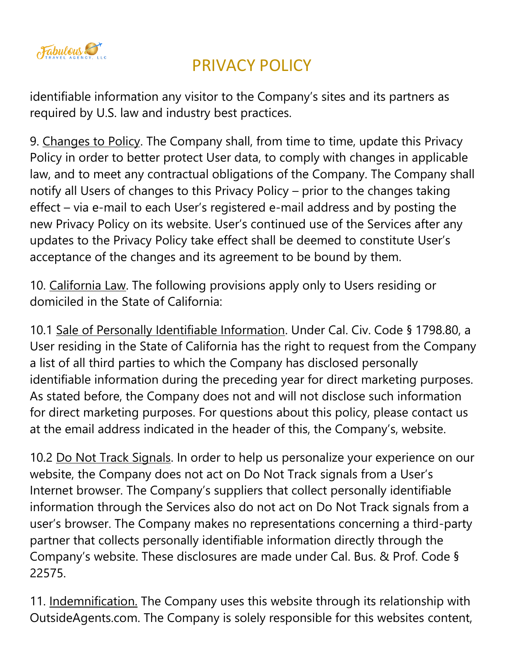

identifiable information any visitor to the Company's sites and its partners as required by U.S. law and industry best practices.

9. Changes to Policy. The Company shall, from time to time, update this Privacy Policy in order to better protect User data, to comply with changes in applicable law, and to meet any contractual obligations of the Company. The Company shall notify all Users of changes to this Privacy Policy – prior to the changes taking effect – via e-mail to each User's registered e-mail address and by posting the new Privacy Policy on its website. User's continued use of the Services after any updates to the Privacy Policy take effect shall be deemed to constitute User's acceptance of the changes and its agreement to be bound by them.

10. California Law. The following provisions apply only to Users residing or domiciled in the State of California:

10.1 Sale of Personally Identifiable Information. Under Cal. Civ. Code § 1798.80, a User residing in the State of California has the right to request from the Company a list of all third parties to which the Company has disclosed personally identifiable information during the preceding year for direct marketing purposes. As stated before, the Company does not and will not disclose such information for direct marketing purposes. For questions about this policy, please contact us at the email address indicated in the header of this, the Company's, website.

10.2 Do Not Track Signals. In order to help us personalize your experience on our website, the Company does not act on Do Not Track signals from a User's Internet browser. The Company's suppliers that collect personally identifiable information through the Services also do not act on Do Not Track signals from a user's browser. The Company makes no representations concerning a third-party partner that collects personally identifiable information directly through the Company's website. These disclosures are made under Cal. Bus. & Prof. Code § 22575.

11. Indemnification. The Company uses this website through its relationship with OutsideAgents.com. The Company is solely responsible for this websites content,